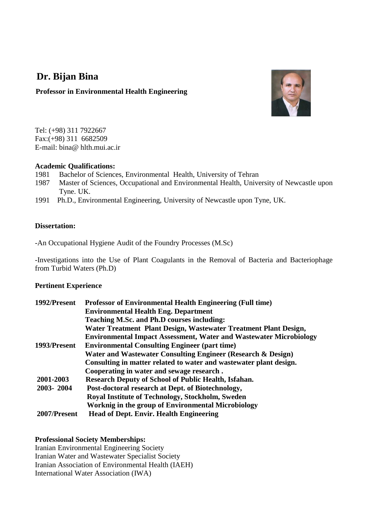# **Dr. Bijan Bina**

### **Professor in Environmental Health Engineering**



Tel: (+98) 311 7922667 Fax:(+98) 311 6682509 E-mail: bina@ hlth.mui.ac.ir

#### **Academic Qualifications:**

- 1981 Bachelor of Sciences, Environmental Health, University of Tehran
- 1987 Master of Sciences, Occupational and Environmental Health, University of Newcastle upon Tyne. UK.
- 1991 Ph.D., Environmental Engineering, University of Newcastle upon Tyne, UK.

#### **Dissertation:**

-An Occupational Hygiene Audit of the Foundry Processes (M.Sc)

-Investigations into the Use of Plant Coagulants in the Removal of Bacteria and Bacteriophage from Turbid Waters (Ph.D)

#### **Pertinent Experience**

| 1992/Present | <b>Professor of Environmental Health Engineering (Full time)</b>          |
|--------------|---------------------------------------------------------------------------|
|              | <b>Environmental Health Eng. Department</b>                               |
|              | <b>Teaching M.Sc. and Ph.D courses including:</b>                         |
|              | Water Treatment Plant Design, Wastewater Treatment Plant Design,          |
|              | <b>Environmental Impact Assessment, Water and Wastewater Microbiology</b> |
| 1993/Present | <b>Environmental Consulting Engineer (part time)</b>                      |
|              | Water and Wastewater Consulting Engineer (Research & Design)              |
|              | Consulting in matter related to water and wastewater plant design.        |
|              | Cooperating in water and sewage research.                                 |
| 2001-2003    | Research Deputy of School of Public Health, Isfahan.                      |
| 2003-2004    | Post-doctoral research at Dept. of Biotechnology,                         |
|              | Royal Institute of Technology, Stockholm, Sweden                          |
|              | Worknig in the group of Environmental Microbiology                        |
| 2007/Present | <b>Head of Dept. Envir. Health Engineering</b>                            |

#### **Professional Society Memberships:**

Iranian Environmental Engineering Society Iranian Water and Wastewater Specialist Society Iranian Association of Environmental Health (IAEH) International Water Association (IWA)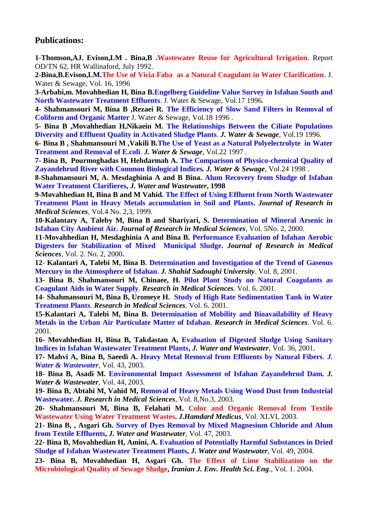## **Publications:**

**1-Thomson,AJ. Evison,LM . Bina,B .Wastewater Reuse for Agricultural Irrigation**. Report OD/TN 62, HR Wallinaford, July 1992.

**2-Bina,B.Evison,LM.The Use of Vicia Faba as a Natural Coagulant in Water Clarification**. J. Water & Sewage, Vol. 16, 1996

**3-Arbabi,m. Movahhedian H, Bina B.Engelberg Guideline Value Survey in Isfahan South and North Wastewater Treatment Effluents**. J. Water & Sewage, Vol.17 1996.

**4- Shahmansouri M, Bina B ,Rezaei R. The Efficiency of Slow Sand Filters in Removal of Coliform and Organic Matter** J. Water & Sewage, Vol.18 1996 .

**5- Bina B ,Movahhedian H,Nikaein M. The Relationships Between the Ciliate Populations Diversity and Effluent Quality in Activated Sludge Plants**. *J. Water & Sewage*, Vol.19 1996.

**6- Bina B , Shahmansouri M ,Vakili B.The Use of Yeast as a Natural Polyelectrolyte in Water Treatment and Removal of E.coli**. *J. Water & Sewage*, Vol.22 1997 .

**7- Bina B, Pourmoghadas H, Hehdarmah A. The Comparison of Physico-chemical Quality of Zayandehrud River with Common Biological Indices***. J. Water & Sewage*, Vol.24 1998 .

**8-Shahmansouri M, A. Mesdaghinia A and B Bina. Alum Recovery from Sludge of Isfahan Water Treatment Clarifieres,** *J. Water and Wastewater***, 1998** 

**9-Movahhedian H, Bina B and M Vahid. The Effect of Using Effluent from North Wastewater Treatment Plant in Heavy Metals accumulation in Soil and Plants.** *Journal of Research in Medical Sciences*, Vol.4 No. 2,3, 1999.

**10-Kalantary A, Taleby M, Bina B and Shariyari, S. Determination of Mineral Arsenic in Isfahan City Ambient Air.** *Journal of Research in Medical Sciences*, Vol. 5No. 2, 2000.

**11-Movahhedian H, Mesdaghinia A and Bina B. Performance Evaluation of Isfahan Aerobic Digesters for Stabilization of Mixed Municipal Sludge.** *Journal of Research in Medical Sciences*, Vol. 2. No. 2, 2000**.**

**12- Kalantari A, Talebi M, Bina B. Determination and Investigation of the Trend of Gaseous Mercury in the Atmosphere of Isfahan**. *J. Shahid Sadoughi University*. Vol. 8, 2001.

**13- Bina B, Shahmansouri M, Chinaee, H. Pilot Plant Study on Natural Coagulants as Coagulant Aids in Water Supply**. *Research in Medical Sciences*. Vol. 6. 2001.

**14- Shahmansouri M, Bina B, Uromeye H. Study of High Rate Sedimentation Tank in Water Treatment Plants**. *Research in Medical Sciences*. Vol. 6. 2001.

**15-Kalantari A, Talebi M, Bina B. Determination of Mobility and Bioavailability of Heavy Metals in the Urban Air Particulate Matter of Isfahan**. *Research in Medical Sciences*. Vol. 6. 2001.

**16- Movahhedian H, Bina B, Takdastan A, Evaluation of Digested Sludge Using Sanitary Indices in Isfahan Wastewater Treatment Plants,** *J. Water and Wastewater*, Vol. 36, 2001.

**17- Mahvi A, Bina B, Saeedi A. Heavy Metal Removal from Effluents by Natural Fibers**. *J. Water & Wastewater*, Vol. 43, 2003.

**18- Bina B, Asadi M. Environmental Impact Assessment of Isfahan Zayandehrud Dam***. J. Water & Wastewater*, Vol. 44, 2003.

**19- Bina B, Abtahi M, Vahid M, Removal of Heavy Metals Using Wood Dust from Industrial Wastewater.** *J. Research in Medical Sciences*, Vol. 8,No.3, 2003.

**20- Shahmansouri M, Bina B, Felahati M. Color and Organic Removal from Textile Wastewater Using Water Treatment Wastes.** *J.Hamdard Medicus*, Vol. XLVI, 2003.

**21- Bina B, , Asgari Gh. Survey of Dyes Removal by Mixed Magnesium Chloride and Alum from Textile Effluents,** *J. Water and Wastewater*, Vol. 47, 2003.

**22- Bina B, Movahhedian H, Amini, A. Evaluation of Potentially Harmful Substances in Dried Sludge of Isfahan Wastewater Treatment Plants,** *J. Water and Wastewater*, Vol. 49, 2004.

**23- Bina B, Movahhedian H, Asgari Gh. The Effect of Lime Stabilization on the Microbiological Quality of Sewage Sludge,** *Iranian J. Env. Health Sci. Eng*., Vol. 1. 2004.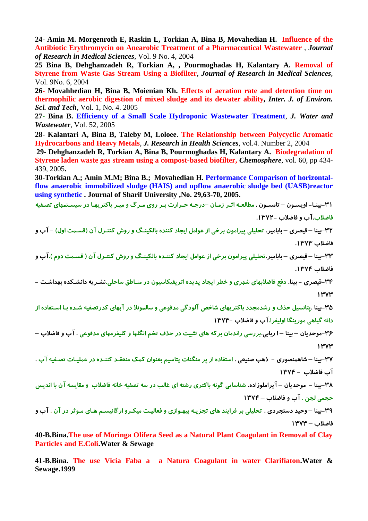**24- Amin M. Morgenroth E, Raskin L, Torkian A, Bina B, Movahedian H. Influence of the Antibiotic Erythromycin on Anearobic Treatment of a Pharmaceutical Wastewater** , *Journal of Research in Medical Sciences*, Vol. 9 No. 4, 2004

**25 Bina B, Dehghanzadeh R, Torkian A, , Pourmoghadas H, Kalantary A. Removal of Styrene from Waste Gas Stream Using a Biofilter**, *Journal of Research in Medical Sciences*, Vol. 9No. 6, 2004

**26- Movahhedian H, Bina B, Moienian Kh. Effects of aeration rate and detention time on thermophilic aerobic digestion of mixed sludge and its dewater ability***, Inter. J. of Environ. Sci. and Tech*, Vol. 1, No. 4. 2005

**27**- **Bina B. Efficiency of a Small Scale Hydroponic Wastewater Treatment**, *J. Water and Wastewater*, Vol. 52, 2005

**28- Kalantari A, Bina B, Taleby M, Loloee**. **The Relationship between Polycyclic Aromatic Hydrocarbons and Heavy Metals**, *J. Research in Health Sciences*, vol.4. Number 2, 2004

**29- Dehghanzadeh R, Torkian A, Bina B, Pourmoghadas H, Kalantary A. Biodegradation of Styrene laden waste gas stream using a compost-based biofilter,** *Chemosphere*, vol. 60, pp 434-439, 2005**.**

**30-Torkian A.; Amin M.M; Bina B.; Movahedian H. Performance Comparison of horizontalflow anaerobic immobilized sludge (HAIS) and upflow anaerobic sludge bed (UASB)reactor using synthetic . Journal of Sharif University ,No. 29,63-70, 2005.**

**-13بینا - اویسا – ت مسا مط لعاا ا اا ما –درجاا اااار باا روم ماام و میاا ب دایسا در یساد س م ت ا یا ف ضالب آب و ف ضالب 3131-** 

۳۲–بینا — قیصری — بابامیر. تحلیلی پیرامون برخی از عوامل ایجاد کننده بالکینـگ و روش کنتـرل آن (قسـمت اول) – آب و **ف ضالب 3131** 

**-11بین – قی ام – ب ب میا تحلیلی پیاام باخی ا ع امل ایج د نناده ب لکینا و رو ندااآ آ س قسا و دو آب و ف ضالب 3131** 

۳۴-قیصری – بینا. دفع فاضلابهای شهری و خطر ایجاد پدیده اتر بفیکاسیون در منـاطق ساحلی.نشـر به دانشـکده بهداشـت –  **3131**

**-13بین پد نسیل اذف و رشدمجدد ب دایس م ش خص آل دگی مدف عی و ل نال در آبس م درت یا شاده با ا اد ده ا**  دانه گیاهی مورینگا اولیفرا.آب و فاضلاب -۱۳۷۳

**-13م ادی – بین – ا رب بی بار ی راندم با ا ه م تثبیو در اذف تخم انگلس و لی امس م مدف عی آب و ف ضالب – 3131**

۳۷–بینا – شاهمنصوری – ذهب صنیعی . استفاده از پر منگنات پتاسیم بعنوان کمک منعقـد کننـده در عملیـات تصـفیه آب . **آب ف ضالب - 3131**

**-13بین - م ادی – آیاامل اده شن یی گ نا ب دام رشدا ام غ لب در ا ت یا خ نا ف ضالب و مق یسا آ ب اندیس اج ی لجن آب و ف ضالب – 3131**

**-13بین – واید د دجادم تحلیلی با فاایند ه م تجزیاا بیسا ا م و فع لیاو میکااو ارگ نیسام ها م ما ا در آ آب و ف ضالب – 3131**

**40-B.Bina.The use of Moringa Olifera Seed as a Natural Plant Coagulant in Removal of Clay Particles and E.Coli.Water & Sewage** 

**41-B.Bina. The use Vicia Faba a a Natura Coagulant in water Clarifiaton.Water & Sewage.1999**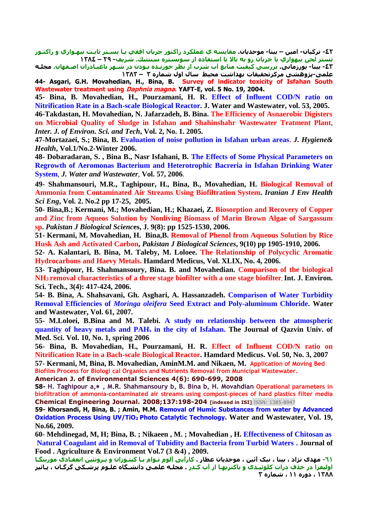**-42 تركيان- امين – بينا- موحديان. مقايسه ي عملكرد راكتور جريان افقي باا بساتر باباي بيزاوا ي ك راكتاور بستر لجن بيهوازي با جريان رو به بالا با استفاده از سوبستره سنتتيك. شريف- ٢٩ – ١٣٨٤** 

**-48 بينا- بور مانی. بررسی کيفيي منابع آب شرب ا نظر خورناده باودن در شازر بادراادران انافزان. مجلاه علمی-پژكهشی مرکزتحقيقات بزداشي محيط سال اكل شماره 8 – 4838**

**44- Asgari, G.H. Movahedian, H., Bina, B. Survey of indicator toxicity of Isfahan South Wastewater treatment using Daphnia magna. YAFT-E, vol. 5 No. 19, 2004.**

**45- Bina, B. Movahedian, H., Pourzamani, H. R. Effect of Influent COD/N ratio on Nitrification Rate in a Bach-scale Biological Reactor. J. Water and Wastewater, vol. 53, 2005.**

**46-Takdastan, H. Movahedian, N. Jafarzadeh, B. Bina. The Efficiency of Asnaerobic Digisters on Microbial Quality of Sludge in Isfahan and Shahinshahr Wastewater Tratment Plant**, *Inter. J. of Environ. Sci. and Tech***, Vol. 2, No. 1. 2005.**

**47-Mortazaei, S.; Bina, B. Evaluation of noise pollution in Isfahan urban areas.** *J. Hygiene& Health***, Vol.1/No.2-Winter 2006.**

**48- Dobaradaran, S. , Bina B., Nasr Isfahani, B. The Effects of Some Physical Parameters on Regrowth of Aeromonas Bacterium and Heterotrophic Bacreria in Isfahan Drinking Water System**, *J. Water and Wastewater*, **Vol. 57, 2006**.

**49- Shahmansouri, M.R., Taghipour, H., Bina, B., Movahedian, H. Biological Removal of Ammonia from Contaminated Air Streams Using Biofiltration System.** *Iranian J Env Health Sci Eng***, Vol. 2. No.2 pp 17-25, 2005.**

**50- Bina,B.; Kermani, M.; Movahedian, H.; Khazaei, Z. Biosorption and Recovery of Copper and Zinc from Aqueos Solution by Nonliving Biomass of Marin Brown Algae of Sargassum sp.** *Pakistan J Biological Scienc***es, J. 9(8): pp 1525-1530, 2006.**

**51- Kermani, M. Movahedian, H. Bina,B. Removal of Phenol from Aqueous Solution by Rice Husk Ash and Activated Carbon,** *Pakistan J Biological Sciences***, 9(10) pp 1905-1910, 2006.**

**52- A. Kalantari, B. Bina, M. Taleby, M. Loloee. The Relationship of Polycyclic Aromatic Hydrocarbons and Haevy Metals. Hamdard Medicus, Vol. XLIX, No. 4, 2006.**

**53- Taghipour, H. Shahmansoury, Bina. B. and Movahedian. Comparison of the biological NH3 removal characteristics of a three stage biofilter with a one stage biofilter. Int. J. Environ. Sci. Tech., 3(4): 417-424, 2006.**

**54- B. Bina, A. Shahsavani, Gh. Asghari, A. Hassanzadeh. Comparison of Water Turbidity Removal Efficiencies of** *Moringa oleifera* **Seed Extract and Poly-aluminum Chloride. Water and Wastewater, Vol. 61, 2007.**

**55- M.Loloei, B.Bina and M. Talebi. A study on relationship between the atmospheric quantity of heavy metals and PAH<sup>s</sup> in the city of Isfahan. The Journal of Qazvin Univ. of Med. Sci. Vol. 10, No. 1, spring 2006**

**56- Bina, B. Movahedian, H., Pourzamani, H. R. Effect of Influent COD/N ratio on Nitrification Rate in a Bach-scale Biological Reactor. Hamdard Medicus. Vol. 50, No. 3, 2007**

**57- Kermani, M, Bina, B. Movahedian, AminM.M. and Nikaen, M. Application of Moving Bed Biofilm Process for Biologi cal Organics and Nutrients Removal from Municipal Wastewater.**

**American J. of Environmental Sciences 4(6): 690-699, 2008**

**58- H. Taghipour a,**∗ **, M.R. Shahmansoury b, B. Bina b, H. Movahdian Operational parameters in biofiltration of ammonia-contaminated air streams using compost–pieces of hard plastics filter media Chemical Engineering Journal. 2008;137:198-204 [indexed in ISI]** ISSN: 1385-8947

**59- Khorsandi, H, Bina, B. ; Amin, M.M. Removal of Humic Substances from water by Advanced Oxidation Process Using UV/TiO2 Photo Catalytic Technology. Water and Wastewater, Vol. 19, No.66, 2009.**

**60- Mehdinegad, M, H; Bina, B. ; Nikaeen , M. ; Movahedian , H. Effectiveness of Chitosan as Natural Coagulant aid in Removal of Tubidity and Bacteria from Turbid Waters . Journal of Food . Agriculture & Environment Vol.7 (3 &4) , 2009.**

**-14 مزدی نژاد ، بينا ، نيک آئين ، موحدیان عطار . کارآیی آلوم تاوام باا کيتاو ان ك پاركتاين انیقاادی مورین اا**  اولیفرا در حذف ذرات کلوئیـدی و باکتریهـا از آب کـدر . مجلـه علمـی دانشـگاه علـوم پزشـکی گرگـان ، پـائیز **4833 ، دكره 44 ، شماره 8**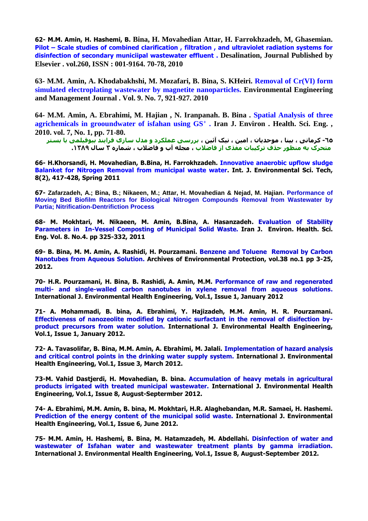**62- M.M. Amin, H. Hashemi, B. Bina, H. Movahedian Attar, H. Farrokhzadeh, M, Ghasemian. Pilot – Scale studies of combined clarification , filtration , and ultraviolet radiation systems for disinfection of secondary municiipal wastewater effluent . Desalination, Journal Published by Elsevier . vol.260, ISSN : 001-9164. 70-78, 2010**

**63- M.M. Amin, A. Khodabakhshi, M. Mozafari, B. Bina, S. KHeiri. Removal of Cr(VI) form simulated electroplating wastewater by magnetite nanoparticles. Environmental Engineering and Management Journal . Vol. 9. No. 7, 921-927. 2010**

**64- M.M. Amin, A. Ebrahimi, M. Hajian , N. Iranpanah. B. Bina . Spatial Analysis of three agrichemicals in grooundwater of isfahan using GS<sup>+</sup> . Iran J. Environ . Health. Sci. Eng. , 2010. vol. 7, No. 1, pp. 71-80.**

**-16 کرمانی ، بينا ، موحدیان ، امين ، نيک آئين ، بررسی عملگرد ك مدل سا ی فرایند بيوفيلمی با بستر** <mark>متحرک به منظور حذف ترکیبات مفذی از فاضلاب ، مجله آب و فاضلاب ، شماره ۳ سال ۱۳۸۹.</mark>

**66- H.Khorsandi, H. Movahedian, B.Bina, H. Farrokhzadeh. Innovative anaerobic upflow sludge Balanket for Nitrogen Removal from municipal waste water. Int. J. Environmental Sci. Tech, 8(2), 417-428, Spring 2011**

**67- Zafarzadeh, A.; Bina, B.; Nikaeen, M.; Attar, H. Movahedian & Nejad, M. Hajian***.* **Performance of Moving Bed Biofilm Reactors for Biological Nitrogen Compounds Removal from Wastewater by Partia; Nitrification-Dentrifiction Process**

**68- M. Mokhtari, M. Nikaeen, M. Amin, B.Bina, A. Hasanzadeh. Evaluation of Stability Parameters in In-Vessel Composting of Municipal Solid Waste. Iran J. Environ. Health. Sci. Eng. Vol. 8. No.4. pp 325-332, 2011**

**69- B. Bina, M. M. Amin, A. Rashidi, H. Pourzamani. Benzene and Toluene Removal by Carbon Nanotubes from Aqueous Solution. Archives of Environmental Protection, vol.38 no.1 pp 3-25, 2012.**

**70- H.R. Pourzamani, H. Bina, B. Rashidi, A. Amin, M.M. Performance of raw and regenerated multi- and single-walled carbon nanotubes in xylene removal from aqueous solutions. International J. Environmental Health Engineering, Vol.1, Issue 1, January 2012**

**71- A. Mohammadi, B. bina, A. Ebrahimi, Y. Hajizadeh, M.M. Amin, H. R. Pourzamani. Effectiveness of nanozeolite modified by cationic surfactant in the removal of disifection byproduct precursors from water solution. International J. Environmental Health Engineering, Vol.1, Issue 1, January 2012.**

**72- A. Tavasolifar, B. Bina, M.M. Amin, A. Ebrahimi, M. Jalali. Implementation of hazard analysis and critical control points in the drinking water supply system. International J. Environmental Health Engineering, Vol.1, Issue 3, March 2012.**

**73-M. Vahid Dastjerdi, H. Movahedian, B. bina. Accumulation of heavy metals in agricultural products irrigated with treated municipal wastewater. International J. Environmental Health Engineering, Vol.1, Issue 8, August-Septermber 2012.**

**74- A. Ebrahimi, M.M. Amin, B. bina, M. Mokhtari, H.R. Alaghebandan, M.R. Samaei, H. Hashemi. Prediction of the energy content of the municipal solid waste. International J. Environmental Health Engineering, Vol.1, Issue 6, June 2012.**

**75- M.M. Amin, H. Hashemi, B. Bina, M. Hatamzadeh, M. Abdellahi. Disinfection of water and wastewater of Isfahan water and wastewater treatment plants by gamma irradiation. International J. Environmental Health Engineering, Vol.1, Issue 8, August-September 2012.**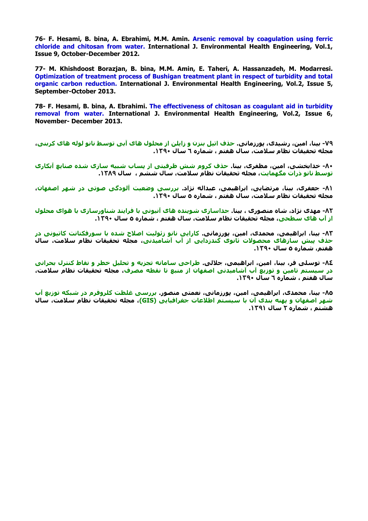**76- F. Hesami, B. bina, A. Ebrahimi, M.M. Amin. Arsenic removal by coagulation using ferric chloride and chitosan from water. International J. Environmental Health Engineering, Vol.1, Issue 9, October-December 2012.**

**77- M. Khishdoost Borazjan, B. bina, M.M. Amin, E. Taheri, A. Hassanzadeh, M. Modarresi. Optimization of treatment process of Bushigan treatment plant in respect of turbidity and total organic carbon reduction. International J. Environmental Health Engineering, Vol.2, Issue 5, September-October 2013.**

**78- F. Hesami, B. bina, A. Ebrahimi. The effectiveness of chitosan as coagulant aid in turbidity removal from water. International J. Environmental Health Engineering, Vol.2, Issue 6, November- December 2013.**

**-92 بينا، امين، رشيدی، پور مانی. حذف اتيل بنزن ك ایلن ا محلول های آبی توسط نانو لوله های کربنی، مجله تحقيقات نظام سالمي، سال هفتم ، شماره 1 سال .4821**

**-31 خدابخشی، امين، مظفری، بينا. حذف کركم شش ظرفيتی ا پساب شريه سا ی شده ننایع آبگاری**  توسط نانو ذرات مگهمایت، مجله تحقیقات نظام سلامت، سال ششم ، سال ۱۳۸۹.

۸۱- جعفری، بينا، مرتضايی، ابراهيمی، عبداله نژاد. بررسی وضعيت آلودگی صوتی در شهر اصفهان، **مجله تحقيقات نظام سالمي، سال هفتم ، شماره 6 سال .4821**

**-32 مزدی نژاد، شاه منصوری ، بينا. جداسا ی شوینده های آنيونی با فرایند شناكرسا ی با هوای محلول ا آب های سطحی، مجله تحقيقات نظام سالمي، سال هفتم ، شماره 6 سال .4821**

**-38 بينا، ابراهيمی، محمدی، امين، پور مانی. کارایی نانو ئوليي انالح شده با سورفگتاني کاتيونی در**  حذف پیش سازهای محصولات ثانوی گندزدایی از آب آشامیدنی، مجله تحقیقات نظام سلامت، سال **هفتم، شماره 6 سال .4821**

**-34 توسلی فر، بينا، امين، ابراهيمی، جاللی. طراحی سامانه تجزیه ك تحليل خطر ك نقاط کنترل بحرانی**  در سيستم تامين و توزيع آب آشاميدني اصفهان از منبع تا نقطه مصرف، مجله تحقيقات نظام سلامت، **سال هفتم ، شماره 1 سال .4821**

**-36 بينا، محمدی، ابراهيمی، امين، پور مانی، نیمتی منصور. بررسی دلظي کلركفرم در شرگه تو یع آب شزر انفزان ك پزنه بندی آن با سيستم اطالعات جغرافيایی (GIS(، مجله تحقيقات نظام سالمي، سال هشتم ، شماره 2 سال .4824**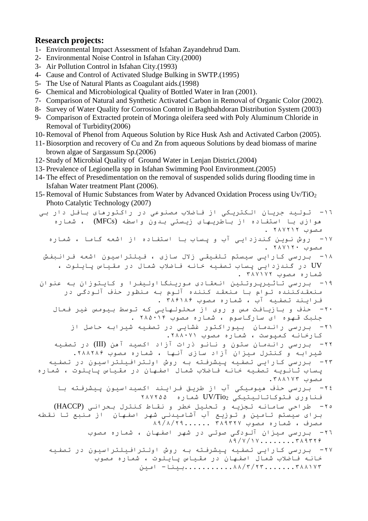## **Research projects:**

- 1- Environmental Impact Assessment of Isfahan Zayandehrud Dam.
- 2- Environmental Noise Control in Isfahan City.(2000)
- 3- Air Pollution Control in Isfahan City.(1993)
- 4- Cause and Control of Activated Sludge Bulking in SWTP.(1995)
- 5- The Use of Natural Plants as Coagulant aids.(1998)
- 6- Chemical and Microbiological Quality of Bottled Water in Iran (2001).
- 7- Comparison of Natural and Synthetic Activated Carbon in Removal of Organic Color (2002).
- 8- Survey of Water Quality for Corrosion Control in Baghbahdoran Distribution System (2003)
- 9- Comparison of Extracted protein of Moringa oleifera seed with Poly Aluminum Chloride in Removal of Turbidity(2006)
- 10- Removal of Phenol from Aqueous Solution by Rice Husk Ash and Activated Carbon (2005).
- 11- Biosorption and recovery of Cu and Zn from aqueous Solutions by dead biomass of marine brown algae of Sargassum Sp.(2006)
- 12- Study of Microbial Quality of Ground Water in Lenjan District.(2004)
- 13- Prevalence of Legionella spp in Isfahan Swimming Pool Environment.(2005)
- 14- The effect of Presedimentation on the removal of suspended solids during flooding time in Isfahan Water treatment Plant (2006).
- 15- Removal of Humic Substances from Water by Advanced Oxidation Process using Uv/TiO<sup>2</sup> Photo Catalytic Technology (2007)
- -61 تولید جریان الکتریکی از فاضالب مصنوعی در راکتورهای بافل دار بی هوازی با استفاده از باطریهای زیستی بدون واسطه (MFCs (، شماره مصوب 212262 . -62 روش نوین گندزدایی آب و پساب با استفاده از اشعه گاما ، شماره مصوب 212622 . -61 بررسی کارایی سیستم تلفیقی زالل سازی ، فیلتراسیون اشعه فرانبفش UV در گندزدایی پساب تصفیه خانه فاضالب شمال در مقیاس پایلوت ، شماره مصوب 212622 . -61 بررسی تاثیرپروتئین انعقادی مورینگااولیفرا و کایتوزان به عنوان منعقدکننده توام با منعقد کننده آلوم به منظور حذف آلودگی در فرایند تصفیه آب ، شماره مصوب 213613 . -22 حذف و بازیافت مس و روی از محلولهایی که توسط بیومس غیر فعال جلبک قهوه ای سارگاسوم ، شماره مصوب 210262 . -26 بررسی راندمان بیوراکتور غشایی در تصفیه شیرابه حاصل از کارخانه کمپوست ، شماره مصوب .211226 -22 بررسی راندمان ستون و نانو ذرات آزاد اکسید آهن (III (در تصفیه شیرابه و کنترل میزان آزاد سازی آنها ، شماره مصوب ۲۸۸۲۸۶. -22 بررسی کارایی تصفیه پیشرفته به روش اولترافیلتراسیون در تصفیه .<br>پساب ثانویه تصفیه خانه فاضلاب شمال اصفهان در مقیاس پایلوت ، شماره مصوب ٢٨٨١٧٣. -22 بررسی حذف هیومیکی آب از طریق فرایند اکسیداسیون پیشرفته با فناوری فتوکاتالیتیکی 2Tio/UV شماره 212200 -22 طراحی سامانه تجزیه و تحلیل خطر و نقاط کنترل بحرانی (HACCP( برای سیستم تامین و توزیع آب آشامیدنی شهر اصفهان از منبع تا نقطه مصرف ، شماره مصوب 211222 11/1/21...... -21 بررسی میزان آلودگی صوتی در شهر اصفهان ، شماره مصوب 19/ V / 1 V . . . . . . . . . T A 9 ٣ ٢ ٩ -22 بررسی کارایی تصفیه پیشرفته به روش اولترافیلتراسیون در تصفیه خانه فاضالب شمال اصفهان در مقیاس پایلوت ، شماره مصوب

...........11/2/22.......211622بینا- امین